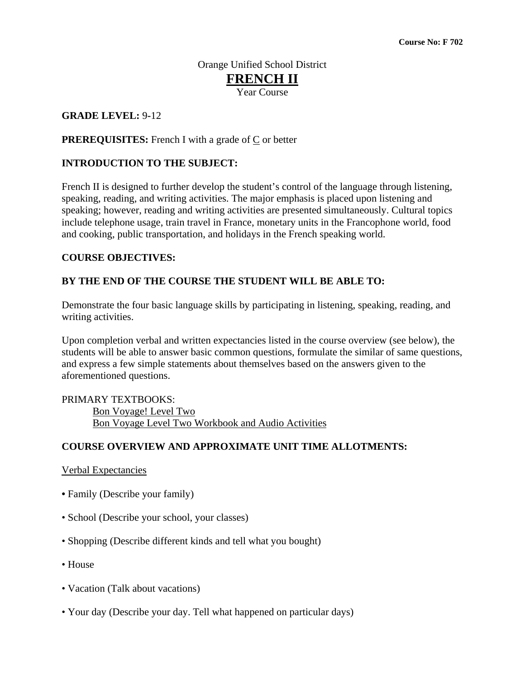# Orange Unified School District **FRENCH II** Year Course

### **GRADE LEVEL:** 9**-**12

### **PREREQUISITES:** French I with a grade of  $C$  or better

### **INTRODUCTION TO THE SUBJECT:**

French II is designed to further develop the student's control of the language through listening, speaking, reading, and writing activities. The major emphasis is placed upon listening and speaking; however, reading and writing activities are presented simultaneously. Cultural topics include telephone usage, train travel in France, monetary units in the Francophone world, food and cooking, public transportation, and holidays in the French speaking world.

#### **COURSE OBJECTIVES:**

### **BY THE END OF THE COURSE THE STUDENT WILL BE ABLE TO:**

Demonstrate the four basic language skills by participating in listening, speaking, reading, and writing activities.

Upon completion verbal and written expectancies listed in the course overview (see below), the students will be able to answer basic common questions, formulate the similar of same questions, and express a few simple statements about themselves based on the answers given to the aforementioned questions.

### PRIMARY TEXTBOOKS: Bon Voyage! Level Two Bon Voyage Level Two Workbook and Audio Activities

### **COURSE OVERVIEW AND APPROXIMATE UNIT TIME ALLOTMENTS:**

#### Verbal Expectancies

- Family (Describe your family)
- School (Describe your school, your classes)
- Shopping (Describe different kinds and tell what you bought)
- House
- Vacation (Talk about vacations)
- Your day (Describe your day. Tell what happened on particular days)